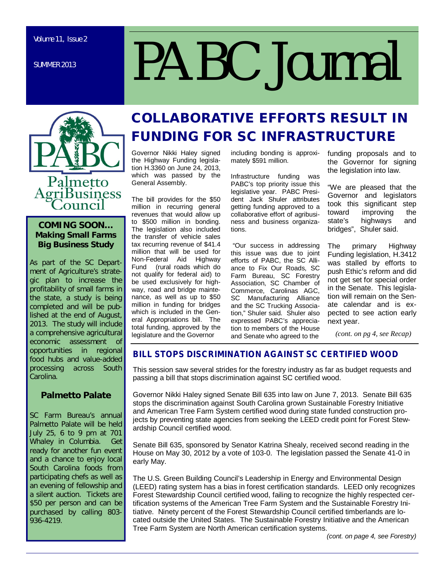SUMMER 2013

# *PABC Journal*



#### **COMING SOON… Making Small Farms Big Business Study**

As part of the SC Department of Agriculture's strategic plan to increase the profitability of small farms in the state, a study is being completed and will be published at the end of August, 2013. The study will include a comprehensive agricultural economic assessment of opportunities in regional food hubs and value-added processing across South Carolina.

#### **Palmetto Palate**

SC Farm Bureau's annual Palmetto Palate will be held July 25, 6 to 9 pm at 701 Whaley in Columbia. Get ready for another fun event and a chance to enjoy local South Carolina foods from participating chefs as well as an evening of fellowship and a silent auction. Tickets are \$50 per person and can be purchased by calling 803- 936-4219.

# **COLLABORATIVE EFFORTS RESULT IN FUNDING FOR SC INFRASTRUCTURE**

Governor Nikki Haley signed the Highway Funding legislation H.3360 on June 24, 2013, which was passed by the General Assembly.

The bill provides for the \$50 million in recurring general revenues that would allow up to \$500 million in bonding. The legislation also included the transfer of vehicle sales tax recurring revenue of \$41.4 million that will be used for Non-Federal Aid Highway Fund (rural roads which do not qualify for federal aid) to be used exclusively for highway, road and bridge maintenance, as well as up to \$50 million in funding for bridges which is included in the General Appropriations bill. The total funding, approved by the legislature and the Governor

including bonding is approximately \$591 million.

Infrastructure funding was PABC's top priority issue this legislative year. PABC President Jack Shuler attributes getting funding approved to a collaborative effort of agribusiness and business organizations.

 "Our success in addressing this issue was due to joint efforts of PABC, the SC Alliance to Fix Our Roads, SC Farm Bureau, SC Forestry Association, SC Chamber of Commerce, Carolinas AGC, SC Manufacturing Alliance and the SC Trucking Association," Shuler said. Shuler also expressed PABC's appreciation to members of the House and Senate who agreed to the

funding proposals and to the Governor for signing the legislation into law.

"We are pleased that the Governor and legislators took this significant step toward improving the state's highways and bridges", Shuler said.

The primary Highway Funding legislation, H.3412 was stalled by efforts to push Ethic's reform and did not get set for special order in the Senate. This legislation will remain on the Senate calendar and is expected to see action early next year.

*(cont. on pg 4, see Recap)*

#### **BILL STOPS DISCRIMINATION AGAINST SC CERTIFIED WOOD**

This session saw several strides for the forestry industry as far as budget requests and passing a bill that stops discrimination against SC certified wood.

Governor Nikki Haley signed Senate Bill 635 into law on June 7, 2013. Senate Bill 635 stops the discrimination against South Carolina grown Sustainable Forestry Initiative and American Tree Farm System certified wood during state funded construction projects by preventing state agencies from seeking the LEED credit point for Forest Stewardship Council certified wood.

Senate Bill 635, sponsored by Senator Katrina Shealy, received second reading in the House on May 30, 2012 by a vote of 103-0. The legislation passed the Senate 41-0 in early May.

The U.S. Green Building Council's Leadership in Energy and Environmental Design (LEED) rating system has a bias in forest certification standards. LEED only recognizes Forest Stewardship Council certified wood, failing to recognize the highly respected certification systems of the American Tree Farm System and the Sustainable Forestry Initiative. Ninety percent of the Forest Stewardship Council certified timberlands are located outside the United States. The Sustainable Forestry Initiative and the American Tree Farm System are North American certification systems.

*(cont. on page 4, see Forestry)*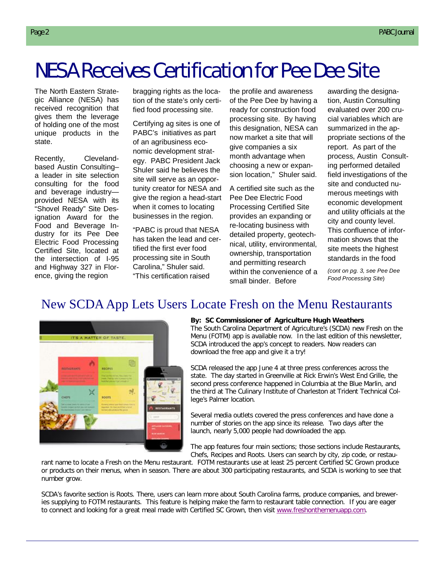# NESA Receives Certification for Pee Dee Site

The North Eastern Strategic Alliance (NESA) has received recognition that gives them the leverage of holding one of the most unique products in the state.

Recently, Clevelandbased Austin Consulting– a leader in site selection consulting for the food and beverage industry provided NESA with its "Shovel Ready" Site Designation Award for the Food and Beverage Industry for its Pee Dee Electric Food Processing Certified Site, located at the intersection of I-95 and Highway 327 in Florence, giving the region

bragging rights as the location of the state's only certified food processing site.

Certifying ag sites is one of PABC's initiatives as part of an agribusiness economic development strategy. PABC President Jack Shuler said he believes the site will serve as an opportunity creator for NESA and give the region a head-start when it comes to locating businesses in the region.

"PABC is proud that NESA has taken the lead and certified the first ever food processing site in South Carolina," Shuler said. "This certification raised

the profile and awareness of the Pee Dee by having a ready for construction food processing site. By having this designation, NESA can now market a site that will give companies a six month advantage when choosing a new or expansion location," Shuler said.

A certified site such as the Pee Dee Electric Food Processing Certified Site provides an expanding or re-locating business with detailed property, geotechnical, utility, environmental, ownership, transportation and permitting research within the convenience of a small binder. Before

awarding the designation, Austin Consulting evaluated over 200 crucial variables which are summarized in the appropriate sections of the report. As part of the process, Austin Consulting performed detailed field investigations of the site and conducted numerous meetings with economic development and utility officials at the city and county level. This confluence of information shows that the site meets the highest standards in the food

*(cont on pg. 3, see Pee Dee Food Processing Site*)

## New SCDA App Lets Users Locate Fresh on the Menu Restaurants



#### **By: SC Commissioner of Agriculture Hugh Weathers**

The South Carolina Department of Agriculture's (SCDA) new Fresh on the Menu (FOTM) app is available now. In the last edition of this newsletter, SCDA introduced the app's concept to readers. Now readers can download the free app and give it a try!

SCDA released the app June 4 at three press conferences across the state. The day started in Greenville at Rick Erwin's West End Grille, the second press conference happened in Columbia at the Blue Marlin, and the third at The Culinary Institute of Charleston at Trident Technical College's Palmer location.

Several media outlets covered the press conferences and have done a number of stories on the app since its release. Two days after the launch, nearly 5,000 people had downloaded the app.

The app features four main sections; those sections include Restaurants, Chefs, Recipes and Roots. Users can search by city, zip code, or restau-

rant name to locate a Fresh on the Menu restaurant. FOTM restaurants use at least 25 percent Certified SC Grown produce or products on their menus, when in season. There are about 300 participating restaurants, and SCDA is working to see that number grow.

SCDA's favorite section is Roots. There, users can learn more about South Carolina farms, produce companies, and breweries supplying to FOTM restaurants. This feature is helping make the farm to restaurant table connection. If you are eager to connect and looking for a great meal made with Certified SC Grown, then visit www.freshonthemenuapp.com.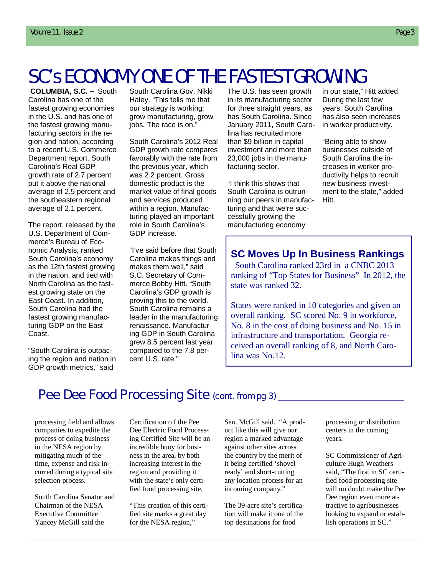# SC's ECONOMY ONE OF THE FASTEST GROWING

 **COLUMBIA, S.C. –** South Carolina has one of the fastest growing economies in the U.S. and has one of the fastest growing manufacturing sectors in the region and nation, according to a recent U.S. Commerce Department report. South Carolina's Real GDP growth rate of 2.7 percent put it above the national average of 2.5 percent and the southeastern regional average of 2.1 percent.

The report, released by the U.S. Department of Commerce's Bureau of Economic Analysis, ranked South Carolina's economy as the 12th fastest growing in the nation, and tied with North Carolina as the fastest growing state on the East Coast. In addition, South Carolina had the fastest growing manufacturing GDP on the East Coast.

"South Carolina is outpacing the region and nation in GDP growth metrics," said

South Carolina Gov. Nikki Haley. "This tells me that our strategy is working: grow manufacturing, grow jobs. The race is on."

South Carolina's 2012 Real GDP growth rate compares favorably with the rate from the previous year, which was 2.2 percent. Gross domestic product is the market value of final goods and services produced within a region. Manufacturing played an important role in South Carolina's GDP increase.

"I've said before that South Carolina makes things and makes them well," said S.C. Secretary of Commerce Bobby Hitt. "South Carolina's GDP growth is proving this to the world. South Carolina remains a leader in the manufacturing renaissance. Manufacturing GDP in South Carolina grew 8.5 percent last year compared to the 7.8 percent U.S. rate."

The U.S. has seen growth in its manufacturing sector for three straight years, as has South Carolina. Since January 2011, South Carolina has recruited more than \$9 billion in capital investment and more than 23,000 jobs in the manufacturing sector.

"I think this shows that South Carolina is outrunning our peers in manufacturing and that we're successfully growing the manufacturing economy

in our state," Hitt added. During the last few years, South Carolina has also seen increases in worker productivity.

"Being able to show businesses outside of South Carolina the increases in worker productivity helps to recruit new business investment to the state," added Hitt.

#### **SC Moves Up In Business Rankings**

South Carolina ranked 23rd in a CNBC 2013 ranking of "Top States for Business" In 2012, the state was ranked 32.

States were ranked in 10 categories and given an overall ranking. SC scored No. 9 in workforce, No. 8 in the cost of doing business and No. 15 in infrastructure and transportation. Georgia received an overall ranking of 8, and North Carolina was No.12.

### Pee Dee Food Processing Site (cont. from pg 3)

processing field and allows companies to expedite the process of doing business in the NESA region by mitigating much of the time, expense and risk incurred during a typical site selection process.

South Carolina Senator and Chairman of the NESA Executive Committee Yancey McGill said the

Certification o f the Pee Dee Electric Food Processing Certified Site will be an incredible buoy for business in the area, by both increasing interest in the region and providing it with the state's only certified food processing site.

"This creation of this certified site marks a great day for the NESA region,"

Sen. McGill said. "A product like this will give our region a marked advantage against other sites across the country by the merit of it being certified 'shovel ready' and short-cutting any location process for an incoming company."

The 39-acre site's certification will make it one of the top destinations for food

processing or distribution centers in the coming years.

SC Commissioner of Agriculture Hugh Weathers said, "The first in SC certified food processing site will no doubt make the Pee Dee region even more attractive to agribusinesses looking to expand or establish operations in SC."